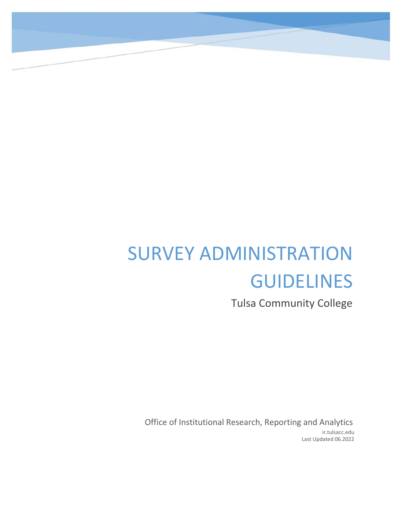# SURVEY ADMINISTRATION GUIDELINES

Tulsa Community College

Office of Institutional Research, Reporting and Analytics ir.tulsacc.edu Last Updated 06.2022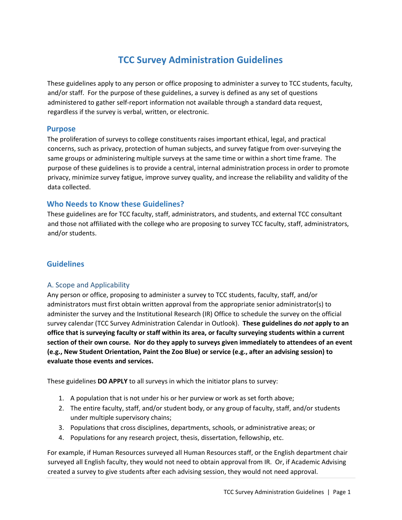# **TCC Survey Administration Guidelines**

These guidelines apply to any person or office proposing to administer a survey to TCC students, faculty, and/or staff. For the purpose of these guidelines, a survey is defined as any set of questions administered to gather self‐report information not available through a standard data request, regardless if the survey is verbal, written, or electronic.

#### **Purpose**

The proliferation of surveys to college constituents raises important ethical, legal, and practical concerns, such as privacy, protection of human subjects, and survey fatigue from over‐surveying the same groups or administering multiple surveys at the same time or within a short time frame. The purpose of these guidelines is to provide a central, internal administration process in order to promote privacy, minimize survey fatigue, improve survey quality, and increase the reliability and validity of the data collected.

### **Who Needs to Know these Guidelines?**

These guidelines are for TCC faculty, staff, administrators, and students, and external TCC consultant and those not affiliated with the college who are proposing to survey TCC faculty, staff, administrators, and/or students.

# **Guidelines**

#### A. Scope and Applicability

Any person or office, proposing to administer a survey to TCC students, faculty, staff, and/or administrators must first obtain written approval from the appropriate senior administrator(s) to administer the survey and the Institutional Research (IR) Office to schedule the survey on the official survey calendar (TCC Survey Administration Calendar in Outlook). **These guidelines do** *not* **apply to an office that is surveying faculty or staff within its area, or faculty surveying students within a current section of their own course. Nor do they apply to surveys given immediately to attendees of an event (e.g., New Student Orientation, Paint the Zoo Blue) or service (e.g., after an advising session) to evaluate those events and services.**

These guidelines **DO APPLY** to all surveys in which the initiator plans to survey:

- 1. A population that is not under his or her purview or work as set forth above;
- 2. The entire faculty, staff, and/or student body, or any group of faculty, staff, and/or students under multiple supervisory chains;
- 3. Populations that cross disciplines, departments, schools, or administrative areas; or
- 4. Populations for any research project, thesis, dissertation, fellowship, etc.

For example, if Human Resources surveyed all Human Resources staff, or the English department chair surveyed all English faculty, they would not need to obtain approval from IR. Or, if Academic Advising created a survey to give students after each advising session, they would not need approval.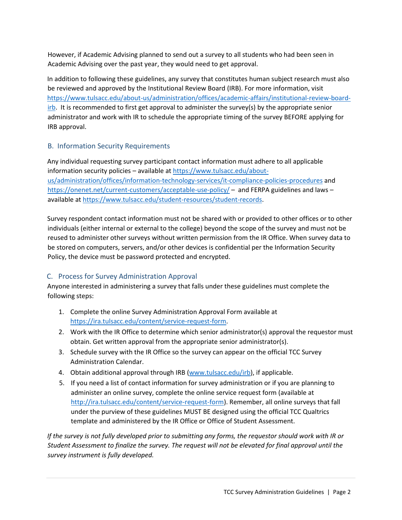However, if Academic Advising planned to send out a survey to all students who had been seen in Academic Advising over the past year, they would need to get approval.

In addition to following these guidelines, any survey that constitutes human subject research must also be reviewed and approved by the Institutional Review Board (IRB). For more information, visit https://www.tulsacc.edu/about-us/administration/offices/academic-affairs/institutional-review-board $i$ rb. It is recommended to first get approval to administer the survey(s) by the appropriate senior administrator and work with IR to schedule the appropriate timing of the survey BEFORE applying for IRB approval.

### B. Information Security Requirements

Any individual requesting survey participant contact information must adhere to all applicable information security policies – available a[t https://www.tulsacc.edu/about](https://www.tulsacc.edu/about-us/administration/offices/information-technology-services/it-compliance-policies-procedures)[us/administration/offices/information-technology-services/it-compliance-policies-procedures](https://www.tulsacc.edu/about-us/administration/offices/information-technology-services/it-compliance-policies-procedures) and <https://onenet.net/current-customers/acceptable-use-policy/> – and FERPA guidelines and laws – available at https://www.tulsacc.edu/student-resources/student-records.

Survey respondent contact information must not be shared with or provided to other offices or to other individuals (either internal or external to the college) beyond the scope of the survey and must not be reused to administer other surveys without written permission from the IR Office. When survey data to be stored on computers, servers, and/or other devices is confidential per the Information Security Policy, the device must be password protected and encrypted.

# C. Process for Survey Administration Approval

Anyone interested in administering a survey that falls under these guidelines must complete the following steps:

- 1. Complete the online Survey Administration Approval Form available at https://ira.tulsacc.edu/content/service-request-form.
- 2. Work with the IR Office to determine which senior administrator(s) approval the requestor must obtain. Get written approval from the appropriate senior administrator(s).
- 3. Schedule survey with the IR Office so the survey can appear on the official TCC Survey Administration Calendar.
- 4. Obtain additional approval through IRB (www.tulsacc.edu/irb), if applicable.
- 5. If you need a list of contact information for survey administration or if you are planning to administer an online survey, complete the online service request form (available at http://ira.tulsacc.edu/content/service-request-form). Remember, all online surveys that fall under the purview of these guidelines MUST BE designed using the official TCC Qualtrics template and administered by the IR Office or Office of Student Assessment.

*If the survey is not fully developed prior to submitting any forms, the requestor should work with IR or Student Assessment to finalize the survey. The request will not be elevated for final approval until the survey instrument is fully developed.*